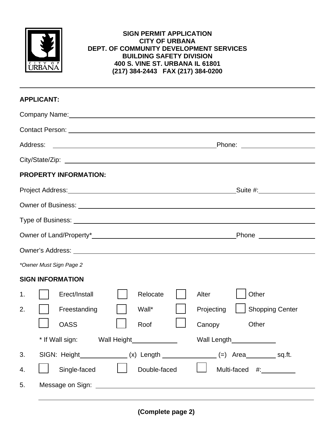

## **SIGN PERMIT APPLICATION CITY OF URBANA DEPT. OF COMMUNITY DEVELOPMENT SERVICES BUILDING SAFETY DIVISION 400 S. VINE ST. URBANA IL 61801 (217) 384-2443 FAX (217) 384-0200**

| <b>APPLICANT:</b>                                                                                                                                                                                                                    |                                      |  |  |  |  |
|--------------------------------------------------------------------------------------------------------------------------------------------------------------------------------------------------------------------------------------|--------------------------------------|--|--|--|--|
| Company Name: Manual Account of the Company Name: Manual Account of the Company Name of the Company of the Company of the Company of the Company of the Company of the Company of the Company of the Company of the Company of       |                                      |  |  |  |  |
|                                                                                                                                                                                                                                      |                                      |  |  |  |  |
| Address:<br><u> 1980 - Andrea Andrew Maria (h. 1980).</u>                                                                                                                                                                            |                                      |  |  |  |  |
|                                                                                                                                                                                                                                      |                                      |  |  |  |  |
| <b>PROPERTY INFORMATION:</b>                                                                                                                                                                                                         |                                      |  |  |  |  |
| Project Address: <u>Communications</u> Control and Control and Control and Control and Control and Control and Control and Control and Control and Control and Control and Control and Control and Control and Control and Control   | _Suite #:_________________           |  |  |  |  |
| Owner of Business: Universe of Subsets of Business and Contract of Business and Contract of Business and Contract of Subsets and Contract of Subsets and Contract of Subsets and Contract of Subsets and Contract of Subsets a       |                                      |  |  |  |  |
|                                                                                                                                                                                                                                      |                                      |  |  |  |  |
| Phone _________________                                                                                                                                                                                                              |                                      |  |  |  |  |
|                                                                                                                                                                                                                                      |                                      |  |  |  |  |
| *Owner Must Sign Page 2                                                                                                                                                                                                              |                                      |  |  |  |  |
| <b>SIGN INFORMATION</b>                                                                                                                                                                                                              |                                      |  |  |  |  |
| Erect/Install<br>Relocate<br>1.                                                                                                                                                                                                      | Other<br>Alter                       |  |  |  |  |
| 2.<br>Freestanding<br>Wall*                                                                                                                                                                                                          | <b>Shopping Center</b><br>Projecting |  |  |  |  |
| <b>OASS</b><br>Roof                                                                                                                                                                                                                  | Canopy<br>Other                      |  |  |  |  |
| * If Wall sign:<br>Wall Height                                                                                                                                                                                                       | <b>Wall Length</b>                   |  |  |  |  |
| SIGN: Height_______________(x) Length _______________(=) Area__________ sq.ft.<br>3.                                                                                                                                                 |                                      |  |  |  |  |
| Single-faced<br>Double-faced<br>4.                                                                                                                                                                                                   | Multi-faced #:__________             |  |  |  |  |
| Message on Sign: New York Changes and Signal Changes on Signal Changes and Changes and Changes and Changes and Changes and Changes and Changes and Changes and Changes and Changes and Changes and Changes and Changes and Cha<br>5. |                                      |  |  |  |  |